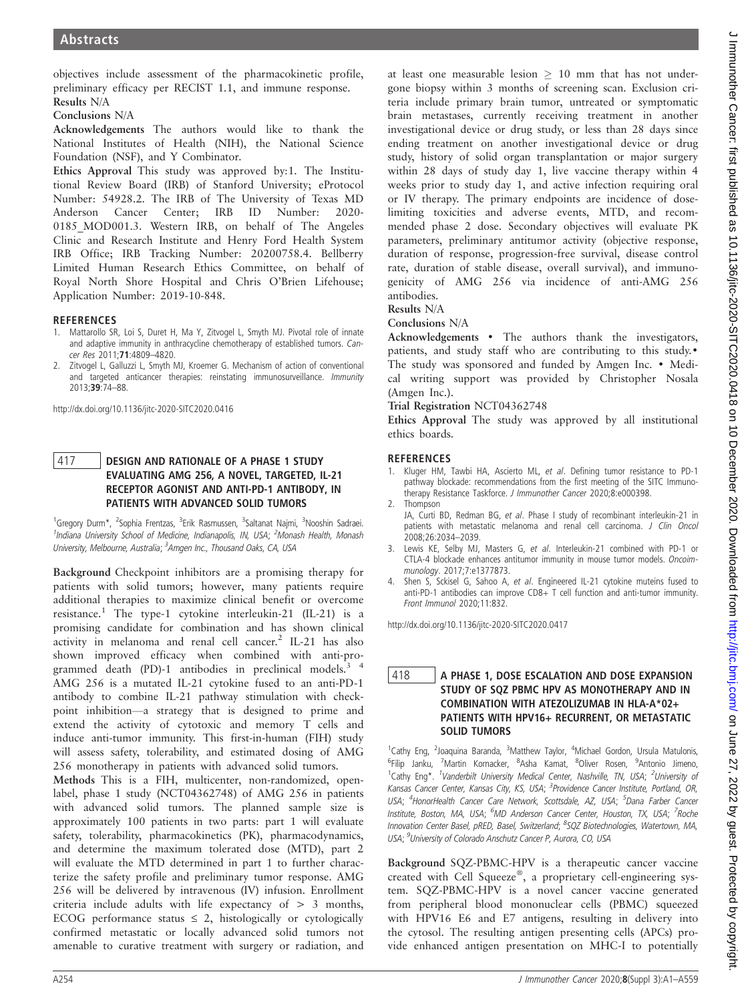objectives include assessment of the pharmacokinetic profile, preliminary efficacy per RECIST 1.1, and immune response. Results N/A

### Conclusions N/A

Acknowledgements The authors would like to thank the National Institutes of Health (NIH), the National Science Foundation (NSF), and Y Combinator.

Ethics Approval This study was approved by:1. The Institutional Review Board (IRB) of Stanford University; eProtocol Number: 54928.2. The IRB of The University of Texas MD Anderson Cancer Center; IRB ID Number: 2020- 0185 MOD001.3. Western IRB, on behalf of The Angeles Clinic and Research Institute and Henry Ford Health System IRB Office; IRB Tracking Number: 20200758.4. Bellberry Limited Human Research Ethics Committee, on behalf of Royal North Shore Hospital and Chris O'Brien Lifehouse; Application Number: 2019-10-848.

- 1. Mattarollo SR, Loi S, Duret H, Ma Y, Zitvogel L, Smyth MJ. Pivotal role of innate and adaptive immunity in anthracycline chemotherapy of established tumors. Can-
- cer Res 2011;71:4809–4820. 2. Zitvogel L, Galluzzi L, Smyth MJ, Kroemer G. Mechanism of action of conventional and targeted anticancer therapies: reinstating immunosurveillance. Immunity 2013;39:74–88.

http://dx.doi.org/10.1136/jitc-2020-SITC2020.0416

# 417 DESIGN AND RATIONALE OF A PHASE 1 STUDY<br>EVALUATING AMG 256, A NOVEL, TARGETED, IL-21 RECEPTOR AGONIST AND ANTI-PD-1 ANTIBODY, IN PATIENTS WITH ADVANCED SOLID TUMORS

1<br><sup>1</sup>Gregory Durm\*, <sup>2</sup>Sophia Frentzas, <sup>3</sup>Erik Rasmussen, <sup>3</sup>Saltanat Najmi, <sup>3</sup>Nooshin Sadraei. <sup>1</sup>Indiana University School of Medicine, Indianapolis, IN, USA; <sup>2</sup>Monash Health, Monash University, Melbourne, Australia; <sup>3</sup>Amgen Inc., Thousand Oaks, CA, USA

Background Checkpoint inhibitors are a promising therapy for patients with solid tumors; however, many patients require additional therapies to maximize clinical benefit or overcome resistance.<sup>1</sup> The type-1 cytokine interleukin-21 (IL-21) is a promising candidate for combination and has shown clinical activity in melanoma and renal cell cancer.<sup>2</sup> IL-21 has also shown improved efficacy when combined with anti-programmed death (PD)-1 antibodies in preclinical models. $3<sup>4</sup>$ AMG 256 is a mutated IL-21 cytokine fused to an anti-PD-1 antibody to combine IL-21 pathway stimulation with checkpoint inhibition—a strategy that is designed to prime and extend the activity of cytotoxic and memory T cells and induce anti-tumor immunity. This first-in-human (FIH) study will assess safety, tolerability, and estimated dosing of AMG 256 monotherapy in patients with advanced solid tumors.

Methods This is a FIH, multicenter, non-randomized, openlabel, phase 1 study (NCT04362748) of AMG 256 in patients with advanced solid tumors. The planned sample size is approximately 100 patients in two parts: part 1 will evaluate safety, tolerability, pharmacokinetics (PK), pharmacodynamics, and determine the maximum tolerated dose (MTD), part 2 will evaluate the MTD determined in part 1 to further characterize the safety profile and preliminary tumor response. AMG 256 will be delivered by intravenous (IV) infusion. Enrollment criteria include adults with life expectancy of  $> 3$  months, ECOG performance status  $\leq$  2, histologically or cytologically confirmed metastatic or locally advanced solid tumors not amenable to curative treatment with surgery or radiation, and

at least one measurable lesion  $> 10$  mm that has not undergone biopsy within 3 months of screening scan. Exclusion criteria include primary brain tumor, untreated or symptomatic brain metastases, currently receiving treatment in another investigational device or drug study, or less than 28 days since ending treatment on another investigational device or drug study, history of solid organ transplantation or major surgery within 28 days of study day 1, live vaccine therapy within 4 weeks prior to study day 1, and active infection requiring oral or IV therapy. The primary endpoints are incidence of doselimiting toxicities and adverse events, MTD, and recommended phase 2 dose. Secondary objectives will evaluate PK parameters, preliminary antitumor activity (objective response, duration of response, progression-free survival, disease control rate, duration of stable disease, overall survival), and immunogenicity of AMG 256 via incidence of anti-AMG 256 antibodies.

#### Results N/A

#### Conclusions N/A

Acknowledgements • The authors thank the investigators, patients, and study staff who are contributing to this study.• The study was sponsored and funded by Amgen Inc. • Medical writing support was provided by Christopher Nosala (Amgen Inc.).

### Trial Registration NCT04362748

Ethics Approval The study was approved by all institutional ethics boards.

#### **REFERENCES**

- 1. Kluger HM, Tawbi HA, Ascierto ML, et al. Defining tumor resistance to PD-1 pathway blockade: recommendations from the first meeting of the SITC Immunotherapy Resistance Taskforce. J Immunother Cancer 2020;8:e000398.
- 2. Thompson

JA, Curti BD, Redman BG, et al. Phase I study of recombinant interleukin-21 in patients with metastatic melanoma and renal cell carcinoma. J Clin Oncol 2008;26:2034–2039.

- 3. Lewis KE, Selby MJ, Masters G, et al. Interleukin-21 combined with PD-1 or CTLA-4 blockade enhances antitumor immunity in mouse tumor models. Oncoimmunology. 2017;7:e1377873.
- 4. Shen S, Sckisel G, Sahoo A, et al. Engineered IL-21 cytokine muteins fused to anti-PD-1 antibodies can improve CD8+ T cell function and anti-tumor immunity. Front Immunol 2020;11:832.

http://dx.doi.org/10.1136/jitc-2020-SITC2020.0417

## 418 A PHASE 1, DOSE ESCALATION AND DOSE EXPANSION<br>5 STUDY OF SQZ PBMC HPV AS MONOTHERAPY AND IN COMBINATION WITH ATEZOLIZUMAB IN HLA-A\*02+ PATIENTS WITH HPV16+ RECURRENT, OR METASTATIC **SOLID TUMORS**

1<sub>Cathy Eng,</sub> 2<sub>Joaquina</sub> Baranda, <sup>3</sup>Matthew Taylor, <sup>4</sup>Michael Gordon, Ursula Matulonis, <sup>6</sup>Filip Janku, <sup>7</sup>Martin Kornacker, <sup>8</sup>Asha Kamat, <sup>8</sup>Oliver Rosen, <sup>9</sup>Antonio Jimeno, <sup>1</sup>Cathy Eng\*. <sup>1</sup>Vanderbilt University Medical Center, Nashville, TN, USA; <sup>2</sup>University of Kansas Cancer Center, Kansas City, KS, USA; <sup>3</sup>Providence Cancer Institute, Portland, OR, USA; <sup>4</sup>HonorHealth Cancer Care Network, Scottsdale, AZ, USA; <sup>5</sup>Dana Farber Cancer Institute, Boston, MA, USA; <sup>6</sup>MD Anderson Cancer Center, Houston, TX, USA; <sup>7</sup>Roche Innovation Center Basel, pRED, Basel, Switzerland; <sup>8</sup>SQZ Biotechnologies, Watertown, MA, USA; <sup>9</sup>University of Colorado Anschutz Cancer P, Aurora, CO, USA

Background SQZ-PBMC-HPV is a therapeutic cancer vaccine created with Cell Squeeze®, a proprietary cell-engineering system. SQZ-PBMC-HPV is a novel cancer vaccine generated from peripheral blood mononuclear cells (PBMC) squeezed with HPV16 E6 and E7 antigens, resulting in delivery into the cytosol. The resulting antigen presenting cells (APCs) provide enhanced antigen presentation on MHC-I to potentially